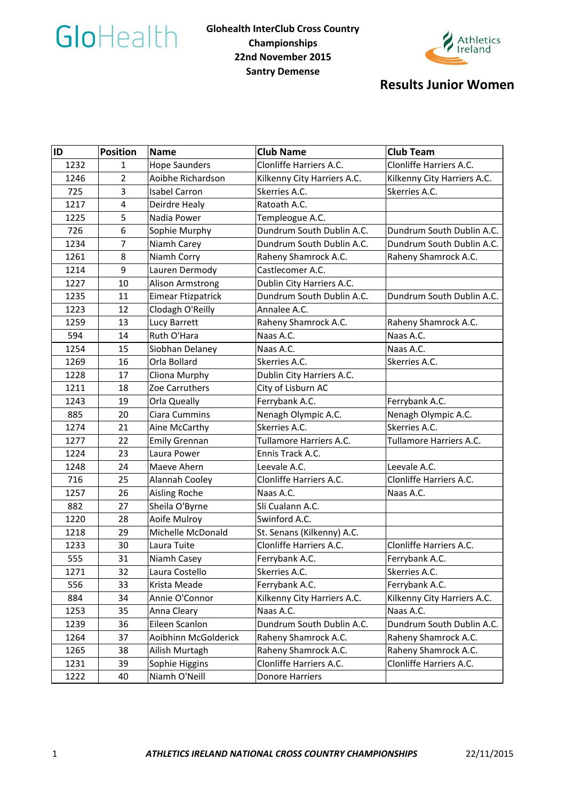



## **Results Junior Women**

| ID   | <b>Position</b>         | <b>Name</b>          | <b>Club Name</b>            | <b>Club Team</b>            |  |
|------|-------------------------|----------------------|-----------------------------|-----------------------------|--|
| 1232 | 1                       | <b>Hope Saunders</b> | Clonliffe Harriers A.C.     | Clonliffe Harriers A.C.     |  |
| 1246 | $\overline{2}$          | Aoibhe Richardson    | Kilkenny City Harriers A.C. | Kilkenny City Harriers A.C. |  |
| 725  | 3                       | <b>Isabel Carron</b> | Skerries A.C.               | Skerries A.C.               |  |
| 1217 | $\overline{\mathbf{4}}$ | Deirdre Healy        | Ratoath A.C.                |                             |  |
| 1225 | 5                       | Nadia Power          | Templeogue A.C.             |                             |  |
| 726  | 6                       | Sophie Murphy        | Dundrum South Dublin A.C.   | Dundrum South Dublin A.C.   |  |
| 1234 | 7                       | Niamh Carey          | Dundrum South Dublin A.C.   | Dundrum South Dublin A.C.   |  |
| 1261 | 8                       | Niamh Corry          | Raheny Shamrock A.C.        | Raheny Shamrock A.C.        |  |
| 1214 | 9                       | Lauren Dermody       | Castlecomer A.C.            |                             |  |
| 1227 | 10                      | Alison Armstrong     | Dublin City Harriers A.C.   |                             |  |
| 1235 | 11                      | Eimear Ftizpatrick   | Dundrum South Dublin A.C.   | Dundrum South Dublin A.C.   |  |
| 1223 | 12                      | Clodagh O'Reilly     | Annalee A.C.                |                             |  |
| 1259 | 13                      | Lucy Barrett         | Raheny Shamrock A.C.        | Raheny Shamrock A.C.        |  |
| 594  | 14                      | Ruth O'Hara          | Naas A.C.                   | Naas A.C.                   |  |
| 1254 | 15                      | Siobhan Delaney      | Naas A.C.                   | Naas A.C.                   |  |
| 1269 | 16                      | Orla Bollard         | Skerries A.C.               | Skerries A.C.               |  |
| 1228 | 17                      | Cliona Murphy        | Dublin City Harriers A.C.   |                             |  |
| 1211 | 18                      | Zoe Carruthers       | City of Lisburn AC          |                             |  |
| 1243 | 19                      | Orla Queally         | Ferrybank A.C.              | Ferrybank A.C.              |  |
| 885  | 20                      | Ciara Cummins        | Nenagh Olympic A.C.         | Nenagh Olympic A.C.         |  |
| 1274 | 21                      | Aine McCarthy        | Skerries A.C.               | Skerries A.C.               |  |
| 1277 | 22                      | <b>Emily Grennan</b> | Tullamore Harriers A.C.     | Tullamore Harriers A.C.     |  |
| 1224 | 23                      | Laura Power          | Ennis Track A.C.            |                             |  |
| 1248 | 24                      | Maeve Ahern          | Leevale A.C.                | Leevale A.C.                |  |
| 716  | 25                      | Alannah Cooley       | Clonliffe Harriers A.C.     | Clonliffe Harriers A.C.     |  |
| 1257 | 26                      | Aisling Roche        | Naas A.C.                   | Naas A.C.                   |  |
| 882  | 27                      | Sheila O'Byrne       | Sli Cualann A.C.            |                             |  |
| 1220 | 28                      | Aoife Mulroy         | Swinford A.C.               |                             |  |
| 1218 | 29                      | Michelle McDonald    | St. Senans (Kilkenny) A.C.  |                             |  |
| 1233 | 30                      | Laura Tuite          | Clonliffe Harriers A.C.     | Clonliffe Harriers A.C.     |  |
| 555  | 31                      | Niamh Casey          | Ferrybank A.C.              | Ferrybank A.C.              |  |
| 1271 | 32                      | Laura Costello       | Skerries A.C.               | Skerries A.C.               |  |
| 556  | 33                      | Krista Meade         | Ferrybank A.C.              | Ferrybank A.C.              |  |
| 884  | 34                      | Annie O'Connor       | Kilkenny City Harriers A.C. | Kilkenny City Harriers A.C. |  |
| 1253 | 35                      | Anna Cleary          | Naas A.C.                   | Naas A.C.                   |  |
| 1239 | 36                      | Eileen Scanlon       | Dundrum South Dublin A.C.   | Dundrum South Dublin A.C.   |  |
| 1264 | 37                      | Aoibhinn McGolderick | Raheny Shamrock A.C.        | Raheny Shamrock A.C.        |  |
| 1265 | 38                      | Ailish Murtagh       | Raheny Shamrock A.C.        | Raheny Shamrock A.C.        |  |
| 1231 | 39                      | Sophie Higgins       | Clonliffe Harriers A.C.     | Clonliffe Harriers A.C.     |  |
| 1222 | 40                      | Niamh O'Neill        | <b>Donore Harriers</b>      |                             |  |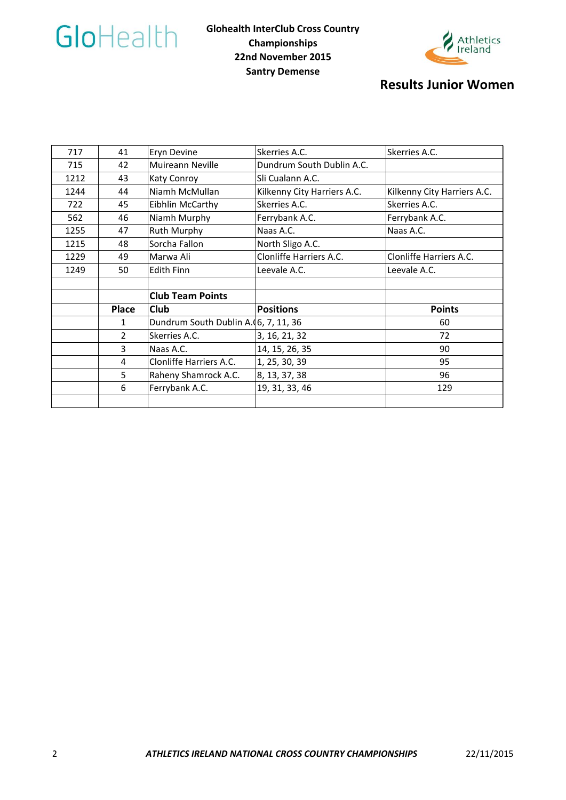



## **Results Junior Women**

| 717  | 41           | Eryn Devine                          | Skerries A.C.               | Skerries A.C.               |  |
|------|--------------|--------------------------------------|-----------------------------|-----------------------------|--|
| 715  | 42           | Muireann Neville                     | Dundrum South Dublin A.C.   |                             |  |
| 1212 | 43           | Katy Conroy                          | Sli Cualann A.C.            |                             |  |
| 1244 | 44           | Niamh McMullan                       | Kilkenny City Harriers A.C. | Kilkenny City Harriers A.C. |  |
| 722  | 45           | Eibhlin McCarthy                     | Skerries A.C.               | Skerries A.C.               |  |
| 562  | 46           | Niamh Murphy                         | Ferrybank A.C.              | Ferrybank A.C.              |  |
| 1255 | 47           | Ruth Murphy                          | Naas A.C.                   | Naas A.C.                   |  |
| 1215 | 48           | Sorcha Fallon                        | North Sligo A.C.            |                             |  |
| 1229 | 49           | Marwa Ali                            | Clonliffe Harriers A.C.     | Clonliffe Harriers A.C.     |  |
| 1249 | 50           | <b>Edith Finn</b>                    | Leevale A.C.                | Leevale A.C.                |  |
|      |              |                                      |                             |                             |  |
|      |              | <b>Club Team Points</b>              |                             |                             |  |
|      | <b>Place</b> | Club                                 | <b>Positions</b>            | <b>Points</b>               |  |
|      | 1            | Dundrum South Dublin A.(6, 7, 11, 36 |                             | 60                          |  |
|      | 2            | Skerries A.C.                        | 3, 16, 21, 32               | 72                          |  |
|      | 3            | Naas A.C.                            | 14, 15, 26, 35              | 90                          |  |
|      | 4            | Clonliffe Harriers A.C.              | 1, 25, 30, 39               | 95                          |  |
|      | 5            | Raheny Shamrock A.C.                 | 8, 13, 37, 38               | 96                          |  |
|      | 6            | Ferrybank A.C.                       | 19, 31, 33, 46              | 129                         |  |
|      |              |                                      |                             |                             |  |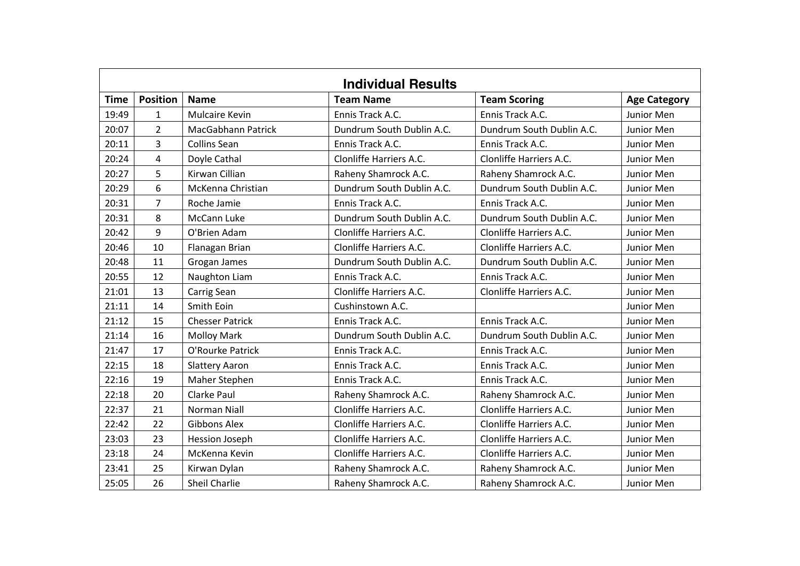| <b>Individual Results</b> |                 |                        |                           |                           |                     |
|---------------------------|-----------------|------------------------|---------------------------|---------------------------|---------------------|
| <b>Time</b>               | <b>Position</b> | <b>Name</b>            | <b>Team Name</b>          | <b>Team Scoring</b>       | <b>Age Category</b> |
| 19:49                     | $\mathbf{1}$    | <b>Mulcaire Kevin</b>  | Ennis Track A.C.          | Ennis Track A.C.          | Junior Men          |
| 20:07                     | $\overline{2}$  | MacGabhann Patrick     | Dundrum South Dublin A.C. | Dundrum South Dublin A.C. | Junior Men          |
| 20:11                     | 3               | <b>Collins Sean</b>    | Ennis Track A.C.          | Ennis Track A.C.          | Junior Men          |
| 20:24                     | 4               | Doyle Cathal           | Clonliffe Harriers A.C.   | Clonliffe Harriers A.C.   | Junior Men          |
| 20:27                     | 5               | Kirwan Cillian         | Raheny Shamrock A.C.      | Raheny Shamrock A.C.      | Junior Men          |
| 20:29                     | 6               | McKenna Christian      | Dundrum South Dublin A.C. | Dundrum South Dublin A.C. | Junior Men          |
| 20:31                     | $\overline{7}$  | Roche Jamie            | Ennis Track A.C.          | Ennis Track A.C.          | Junior Men          |
| 20:31                     | 8               | <b>McCann Luke</b>     | Dundrum South Dublin A.C. | Dundrum South Dublin A.C. | Junior Men          |
| 20:42                     | 9               | O'Brien Adam           | Clonliffe Harriers A.C.   | Clonliffe Harriers A.C.   | Junior Men          |
| 20:46                     | 10              | Flanagan Brian         | Clonliffe Harriers A.C.   | Clonliffe Harriers A.C.   | Junior Men          |
| 20:48                     | 11              | Grogan James           | Dundrum South Dublin A.C. | Dundrum South Dublin A.C. | Junior Men          |
| 20:55                     | 12              | Naughton Liam          | Ennis Track A.C.          | Ennis Track A.C.          | Junior Men          |
| 21:01                     | 13              | Carrig Sean            | Clonliffe Harriers A.C.   | Clonliffe Harriers A.C.   | Junior Men          |
| 21:11                     | 14              | Smith Eoin             | Cushinstown A.C.          |                           | Junior Men          |
| 21:12                     | 15              | <b>Chesser Patrick</b> | Ennis Track A.C.          | Ennis Track A.C.          | Junior Men          |
| 21:14                     | 16              | <b>Molloy Mark</b>     | Dundrum South Dublin A.C. | Dundrum South Dublin A.C. | Junior Men          |
| 21:47                     | 17              | O'Rourke Patrick       | Ennis Track A.C.          | Ennis Track A.C.          | Junior Men          |
| 22:15                     | 18              | <b>Slattery Aaron</b>  | Ennis Track A.C.          | Ennis Track A.C.          | Junior Men          |
| 22:16                     | 19              | Maher Stephen          | Ennis Track A.C.          | Ennis Track A.C.          | Junior Men          |
| 22:18                     | 20              | <b>Clarke Paul</b>     | Raheny Shamrock A.C.      | Raheny Shamrock A.C.      | Junior Men          |
| 22:37                     | 21              | <b>Norman Niall</b>    | Clonliffe Harriers A.C.   | Clonliffe Harriers A.C.   | Junior Men          |
| 22:42                     | 22              | <b>Gibbons Alex</b>    | Clonliffe Harriers A.C.   | Clonliffe Harriers A.C.   | Junior Men          |
| 23:03                     | 23              | <b>Hession Joseph</b>  | Clonliffe Harriers A.C.   | Clonliffe Harriers A.C.   | Junior Men          |
| 23:18                     | 24              | McKenna Kevin          | Clonliffe Harriers A.C.   | Clonliffe Harriers A.C.   | Junior Men          |
| 23:41                     | 25              | Kirwan Dylan           | Raheny Shamrock A.C.      | Raheny Shamrock A.C.      | Junior Men          |
| 25:05                     | 26              | Sheil Charlie          | Raheny Shamrock A.C.      | Raheny Shamrock A.C.      | Junior Men          |